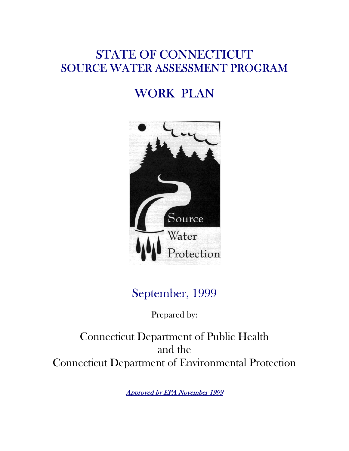# STATE OF CONNECTICUT SOURCE WATER ASSESSMENT PROGRAM

# WORK PLAN



# September, 1999

Prepared by:

Connecticut Department of Public Health and the Connecticut Department of Environmental Protection

Approved by EPA November 1999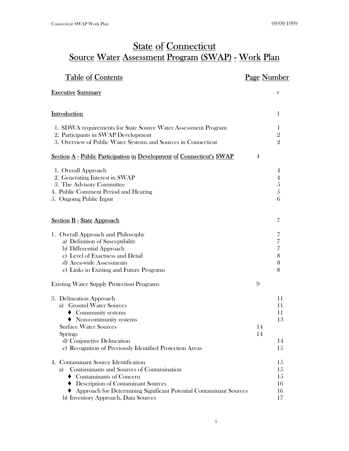# **State of Connecticut** Source Water Assessment Program (SWAP) - Work Plan

| <b>Table of Contents</b>                                                                                                                                                                                                                                                                | <u>Page Number</u>                           |
|-----------------------------------------------------------------------------------------------------------------------------------------------------------------------------------------------------------------------------------------------------------------------------------------|----------------------------------------------|
| <b>Executive Summary</b>                                                                                                                                                                                                                                                                | V                                            |
| <b>Introduction</b>                                                                                                                                                                                                                                                                     | 1                                            |
| 1. SDWA requirements for State Source Water Assessment Program<br>2. Participants in SWAP Development<br>3. Overview of Public Water Systems and Sources in Connecticut                                                                                                                 | 1<br>$\overline{2}$<br>$\overline{2}$        |
| Section A - Public Participation in Development of Connecticut's SWAP                                                                                                                                                                                                                   | 4                                            |
| 1. Overall Approach<br>2. Generating Interest in SWAP<br>3. The Advisory Committee<br>4. Public Comment Period and Hearing<br>5. Ongoing Public Input                                                                                                                                   | 4<br>4<br>5<br>5<br>6                        |
| <b>Section B - State Approach</b>                                                                                                                                                                                                                                                       | 7                                            |
| 1. Overall Approach and Philosophy<br>a) Definition of Susceptibility<br>b) Differential Approach<br>c) Level of Exactness and Detail<br>d) Area-wide Assessments<br>e) Links to Existing and Future Programs                                                                           | 7<br>7<br>7<br>8<br>8<br>8                   |
| <b>Existing Water Supply Protection Programs</b>                                                                                                                                                                                                                                        | 9                                            |
| 3. Delineation Approach<br>a) Ground Water Sources<br>$\blacklozenge$ Community systems<br>$\blacklozenge$ Non-community systems<br><b>Surface Water Sources</b><br><b>Springs</b><br>d) Conjunctive Delineation<br>e) Recognition of Previously Identified Protection Areas            | 11<br>11<br>11<br>13<br>14<br>14<br>14<br>15 |
| 4. Contaminant Source Identification<br>Contaminants and Sources of Contamination<br>a)<br>$\blacklozenge$ Contaminants of Concern<br>♦ Description of Contaminant Sources<br>Approach for Determining Significant Potential Contaminant Sources<br>b) Inventory Approach, Data Sources | 15<br>15<br>15<br>16<br>16<br>17             |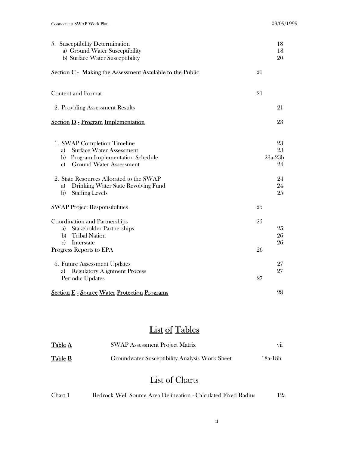| 5. Susceptibility Determination<br>a) Ground Water Susceptibility<br>b) Surface Water Susceptibility                                                                   | 18<br>18<br>20              |
|------------------------------------------------------------------------------------------------------------------------------------------------------------------------|-----------------------------|
| Section C - Making the Assessment Available to the Public                                                                                                              | 21                          |
| <b>Content and Format</b>                                                                                                                                              | 21                          |
| 2. Providing Assessment Results                                                                                                                                        | 21                          |
| <b>Section D - Program Implementation</b>                                                                                                                              | 23                          |
| 1. SWAP Completion Timeline<br><b>Surface Water Assessment</b><br>a)<br><b>Program Implementation Schedule</b><br>b)<br><b>Ground Water Assessment</b><br>$\mathbf{c}$ | 23<br>23<br>$23a-23b$<br>24 |
| 2. State Resources Allocated to the SWAP<br>Drinking Water State Revolving Fund<br>a)<br>b)<br><b>Staffing Levels</b>                                                  | 24<br>24<br>25              |
| <b>SWAP Project Responsibilities</b>                                                                                                                                   | 25                          |
| Coordination and Partnerships<br><b>Stakeholder Partnerships</b><br>a)<br><b>Tribal Nation</b><br>b)<br>Interstate<br>$\mathbf{c}$<br>Progress Reports to EPA          | 25<br>25<br>26<br>26<br>26  |
| 6. Future Assessment Updates<br><b>Regulatory Alignment Process</b><br>a)<br>Periodic Updates                                                                          | 27<br>27<br>27              |
| <b>Section E - Source Water Protection Programs</b>                                                                                                                    | 28                          |

# List of Tables

| Table A | <b>SWAP Assessment Project Matrix</b>          | V11     |
|---------|------------------------------------------------|---------|
| Table B | Groundwater Susceptibility Analysis Work Sheet | 18a-18h |

# List of Charts

| Chart 1 |  |  | Bedrock Well Source Area Delineation - Calculated Fixed Radius | 12a |
|---------|--|--|----------------------------------------------------------------|-----|
|---------|--|--|----------------------------------------------------------------|-----|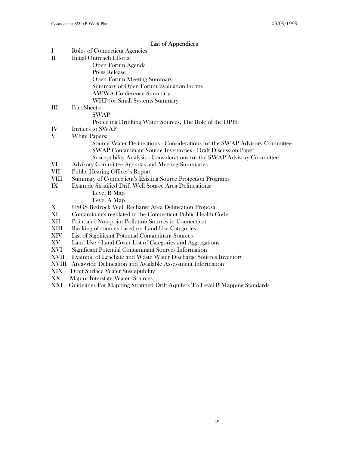# List of Appendices

| $\mathbf I$  | Roles of Connecticut Agencies                                                 |
|--------------|-------------------------------------------------------------------------------|
| $\mathbf{I}$ | <b>Initial Outreach Efforts:</b>                                              |
|              | Open Forum Agenda                                                             |
|              | Press Release                                                                 |
|              | Open Forum Meeting Summary                                                    |
|              | Summary of Open Forum Evaluation Forms                                        |
|              | <b>AWWA Conference Summary</b>                                                |
|              | WHP for Small Systems Summary                                                 |
| III          | <b>Fact Sheets:</b>                                                           |
|              | SWAP                                                                          |
|              | Protecting Drinking Water Sources, The Role of the DPH                        |
| IV           | Invitees to SWAP                                                              |
| V            | White Papers:                                                                 |
|              | Source Water Delineations - Considerations for the SWAP Advisory Committee    |
|              | <b>SWAP Contaminant Source Inventories - Draft Discussion Paper</b>           |
|              | Susceptibility Analysis - Considerations for the SWAP Advisory Committee      |
| VI           | Advisory Committee Agendas and Meeting Summaries                              |
| <b>VII</b>   | Public Hearing Officer's Report                                               |
| <b>VIII</b>  | Summary of Connecticut's Existing Source Protection Programs                  |
| IX           | Example Stratified Drift Well Source Area Delineations:                       |
|              | Level B Map                                                                   |
|              | Level A Map                                                                   |
| X            | <b>USGS Bedrock Well Recharge Area Delineation Proposal</b>                   |
| XI           | Contaminants regulated in the Connecticut Public Health Code                  |
| XII          | Point and Non-point Pollution Sources in Connecticut                          |
| XIII         | Ranking of sources based on Land Use Categories                               |
| <b>XIV</b>   | List of Significant Potential Contaminant Sources                             |
| XV           | Land Use / Land Cover List of Categories and Aggregations                     |
| XVI          | Significant Potential Contaminant Sources Information                         |
| <b>XVII</b>  | Example of Leachate and Waste Water Discharge Sources Inventory               |
| XVIII        | Area-wide Delineation and Available Assessment Information                    |
| <b>XIX</b>   | Draft Surface Water Susceptibility                                            |
| XX           | Map of Interstate Water Sources                                               |
| XXI          | Guidelines For Mapping Stratified Drift Aquifers To Level B Mapping Standards |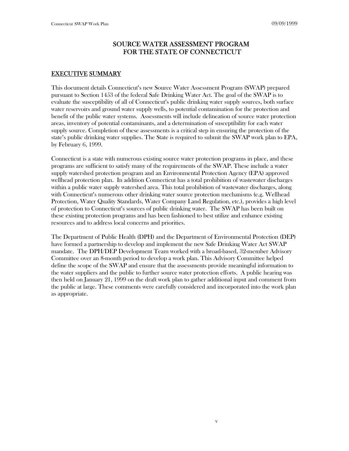# SOURCE WATER ASSESSMENT PROGRAM FOR THE STATE OF CONNECTICUT

# EXECUTIVE SUMMARY

This document details Connecticut's new Source Water Assessment Program (SWAP) prepared pursuant to Section 1453 of the federal Safe Drinking Water Act. The goal of the SWAP is to evaluate the susceptibility of all of Connecticut's public drinking water supply sources, both surface water reservoirs and ground water supply wells, to potential contamination for the protection and benefit of the public water systems. Assessments will include delineation of source water protection areas, inventory of potential contaminants, and a determination of susceptibility for each water supply source. Completion of these assessments is a critical step in ensuring the protection of the state's public drinking water supplies. The State is required to submit the SWAP work plan to EPA, by February 6, 1999.

Connecticut is a state with numerous existing source water protection programs in place, and these programs are sufficient to satisfy many of the requirements of the SWAP. These include a water supply watershed protection program and an Environmental Protection Agency (EPA) approved wellhead protection plan. In addition Connecticut has a total prohibition of wastewater discharges within a public water supply watershed area. This total prohibition of wastewater discharges, along with Connecticut's numerous other drinking water source protection mechanisms (e.g. Wellhead Protection, Water Quality Standards, Water Company Land Regulation, etc.), provides a high level of protection to Connecticut's sources of public drinking water. The SWAP has been built on these existing protection programs and has been fashioned to best utilize and enhance existing resources and to address local concerns and priorities.

The Department of Public Health (DPH) and the Department of Environmental Protection (DEP) have formed a partnership to develop and implement the new Safe Drinking Water Act SWAP mandate. The DPH/DEP Development Team worked with a broad-based, 32-member Advisory Committee over an 8-month period to develop a work plan. This Advisory Committee helped define the scope of the SWAP and ensure that the assessments provide meaningful information to the water suppliers and the public to further source water protection efforts. A public hearing was then held on January 21, 1999 on the draft work plan to gather additional input and comment from the public at large. These comments were carefully considered and incorporated into the work plan as appropriate.

v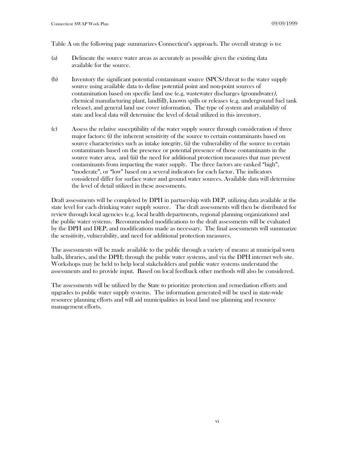Table A on the following page summarizes Connecticut's approach. The overall strategy is to:

- (a) Delineate the source water areas as accurately as possible given the existing data available for the source.
- (b) Inventory the significant potential contaminant source (SPCS) threat to the water supply source using available data to define potential point and non-point sources of contamination based on specific land use (e.g. wastewater discharges (groundwater), chemical manufacturing plant, landfill), known spills or releases (e.g. underground fuel tank release), and general land use cover information. The type of system and availability of state and local data will determine the level of detail utilized in this inventory.
- (c) Assess the relative susceptibility of the water supply source through consideration of three major factors: (i) the inherent sensitivity of the source to certain contaminants based on source characteristics such as intake integrity, (ii) the vulnerability of the source to certain contaminants based on the presence or potential presence of those contaminants in the source water area, and (iii) the need for additional protection measures that may prevent contaminants from impacting the water supply. The three factors are ranked "high", "moderate", or "low" based on a several indicators for each factor. The indicators considered differ for surface water and ground water sources. Available data will determine the level of detail utilized in these assessments.

Draft assessments will be completed by DPH in partnership with DEP, utilizing data available at the state level for each drinking water supply source. The draft assessments will then be distributed for review through local agencies (e.g. local health departments, regional planning organizations) and the public water systems. Recommended modifications to the draft assessments will be evaluated by the DPH and DEP, and modifications made as necessary. The final assessments will summarize the sensitivity, vulnerability, and need for additional protection measures.

The assessments will be made available to the public through a variety of means: at municipal town halls, libraries, and the DPH; through the public water systems, and via the DPH internet web site. Workshops may be held to help local stakeholders and public water systems understand the assessments and to provide input. Based on local feedback other methods will also be considered.

The assessments will be utilized by the State to prioritize protection and remediation efforts and upgrades to public water supply systems. The information generated will be used in state-wide resource planning efforts and will aid municipalities in local land use planning and resource management efforts.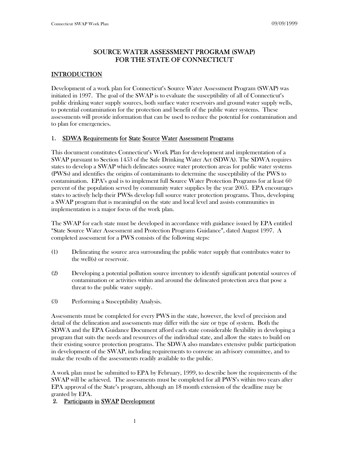# SOURCE WATER ASSESSMENT PROGRAM (SWAP) FOR THE STATE OF CONNECTICUT

# **INTRODUCTION**

Development of a work plan for Connecticut's Source Water Assessment Program (SWAP) was initiated in 1997. The goal of the SWAP is to evaluate the susceptibility of all of Connecticut's public drinking water supply sources, both surface water reservoirs and ground water supply wells, to potential contamination for the protection and benefit of the public water systems. These assessments will provide information that can be used to reduce the potential for contamination and to plan for emergencies.

# 1. SDWA Requirements for State Source Water Assessment Programs

This document constitutes Connecticut's Work Plan for development and implementation of a SWAP pursuant to Section 1453 of the Safe Drinking Water Act (SDWA). The SDWA requires states to develop a SWAP which delineates source water protection areas for public water systems (PWSs) and identifies the origins of contaminants to determine the susceptibility of the PWS to contamination. EPA's goal is to implement full Source Water Protection Programs for at least 60 percent of the population served by community water supplies by the year 2005. EPA encourages states to actively help their PWSs develop full source water protection programs. Thus, developing a SWAP program that is meaningful on the state and local level and assists communities in implementation is a major focus of the work plan.

The SWAP for each state must be developed in accordance with guidance issued by EPA entitled "State Source Water Assessment and Protection Programs Guidance", dated August 1997. A completed assessment for a PWS consists of the following steps:

- (1) Delineating the source area surrounding the public water supply that contributes water to the well(s) or reservoir.
- (2) Developing a potential pollution source inventory to identify significant potential sources of contamination or activities within and around the delineated protection area that pose a threat to the public water supply.
- (3) Performing a Susceptibility Analysis.

Assessments must be completed for every PWS in the state, however, the level of precision and detail of the delineation and assessments may differ with the size or type of system. Both the SDWA and the EPA Guidance Document afford each state considerable flexibility in developing a program that suits the needs and resources of the individual state, and allow the states to build on their existing source protection programs. The SDWA also mandates extensive public participation in development of the SWAP, including requirements to convene an advisory committee, and to make the results of the assessments readily available to the public.

A work plan must be submitted to EPA by February, 1999, to describe how the requirements of the SWAP will be achieved. The assessments must be completed for all PWS's within two years after EPA approval of the State's program, although an 18 month extension of the deadline may be granted by EPA.

#### 2. Participants in SWAP Development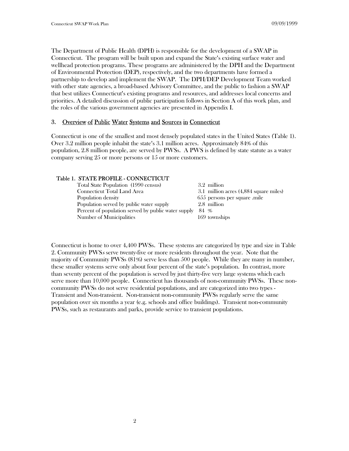The Department of Public Health (DPH) is responsible for the development of a SWAP in Connecticut. The program will be built upon and expand the State's existing surface water and wellhead protection programs. These programs are administered by the DPH and the Department of Environmental Protection (DEP), respectively, and the two departments have formed a partnership to develop and implement the SWAP. The DPH/DEP Development Team worked with other state agencies, a broad-based Advisory Committee, and the public to fashion a SWAP that best utilizes Connecticut's existing programs and resources, and addresses local concerns and priorities. A detailed discussion of public participation follows in Section A of this work plan, and the roles of the various government agencies are presented in Appendix I.

#### 3. Overview of Public Water Systems and Sources in Connecticut

Connecticut is one of the smallest and most densely populated states in the United States (Table 1). Over 3.2 million people inhabit the state's 3.1 million acres. Approximately 84% of this population, 2.8 million people, are served by PWSs. A PWS is defined by state statute as a water company serving 25 or more persons or 15 or more customers.

#### Table 1. STATE PROFILE - CONNECTICUT

| Total State Population (1990 census)                | 3.2 million                            |
|-----------------------------------------------------|----------------------------------------|
| Connecticut Total Land Area                         | 3.1 million acres (4,884 square miles) |
| Population density                                  | 655 persons per square .mile           |
| Population served by public water supply            | 2.8 million                            |
| Percent of population served by public water supply | 84 %                                   |
| Number of Municipalities                            | 169 townships                          |
|                                                     |                                        |

Connecticut is home to over 4,400 PWSs. These systems are categorized by type and size in Table 2. Community PWSs serve twenty-five or more residents throughout the year. Note that the majority of Community PWSs (81%) serve less than 500 people. While they are many in number, these smaller systems serve only about four percent of the state's population. In contrast, more than seventy percent of the population is served by just thirty-five very large systems which each serve more than 10,000 people. Connecticut has thousands of non-community PWSs. These noncommunity PWSs do not serve residential populations, and are categorized into two types - Transient and Non-transient. Non-transient non-community PWSs regularly serve the same population over six months a year (e.g. schools and office buildings). Transient non-community PWSs, such as restaurants and parks, provide service to transient populations.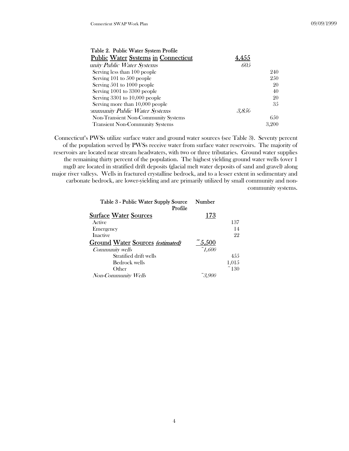| Table 2. Public Water System Profile       |       |       |
|--------------------------------------------|-------|-------|
| <b>Public Water Systems in Connecticut</b> | 4.455 |       |
| unity Public Water Systems                 | 605   |       |
| Serving less than 100 people               |       | 240   |
| Serving 101 to 500 people                  |       | 250   |
| Serving 501 to 1000 people                 |       | 20    |
| Serving 1001 to 3300 people                |       | 40    |
| Serving 3301 to 10,000 people              |       | 20    |
| Serving more than 10,000 people            |       | 35    |
| ommunity Public Water Systems              | 3.850 |       |
| Non-Transient Non-Community Systems        |       | 6.50  |
| <b>Transient Non-Community Systems</b>     |       | 3,200 |

Connecticut's PWSs utilize surface water and ground water sources (see Table 3). Seventy percent of the population served by PWSs receive water from surface water reservoirs. The majority of reservoirs are located near stream headwaters, with two or three tributaries. Ground water supplies the remaining thirty percent of the population. The highest yielding ground water wells (over 1 mgd) are located in stratified drift deposits (glacial melt water deposits of sand and gravel) along major river valleys. Wells in fractured crystalline bedrock, and to a lesser extent in sedimentary and carbonate bedrock, are lower-yielding and are primarily utilized by small community and noncommunity systems.

| Table 3 - Public Water Supply Source<br>Profile | Number                       |               |
|-------------------------------------------------|------------------------------|---------------|
| <b>Surface Water Sources</b>                    | 173                          |               |
| Active                                          |                              | 137           |
| Emergency                                       |                              | 14            |
| Inactive                                        |                              | 22            |
| Ground Water Sources (estimated)                | $\tilde{\phantom{a}}5{,}500$ |               |
| Community wells                                 | $\tilde{C}$ 1,600            |               |
| Stratified drift wells                          |                              | 4.5.5         |
| Bedrock wells                                   |                              | 1,015         |
| Other                                           |                              | $\degree$ 130 |
| Non-Community Wells                             |                              |               |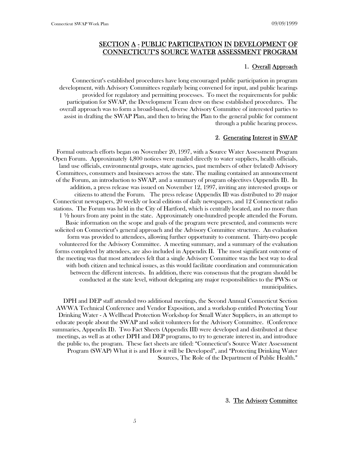# SECTION A - PUBLIC PARTICIPATION IN DEVELOPMENT OF CONNECTICUT'S SOURCE WATER ASSESSMENT PROGRAM

#### 1. Overall Approach

Connecticut's established procedures have long encouraged public participation in program development, with Advisory Committees regularly being convened for input, and public hearings provided for regulatory and permitting processes. To meet the requirements for public participation for SWAP, the Development Team drew on these established procedures. The overall approach was to form a broad-based, diverse Advisory Committee of interested parties to assist in drafting the SWAP Plan, and then to bring the Plan to the general public for comment through a public hearing process.

#### 2. Generating Interest in SWAP

Formal outreach efforts began on November 20, 1997, with a Source Water Assessment Program Open Forum. Approximately 4,800 notices were mailed directly to water suppliers, health officials, land use officials, environmental groups, state agencies, past members of other (related) Advisory Committees, consumers and businesses across the state. The mailing contained an announcement of the Forum, an introduction to SWAP, and a summary of program objectives (Appendix II). In addition, a press release was issued on November 12, 1997, inviting any interested groups or citizens to attend the Forum. The press release (Appendix II) was distributed to 20 major Connecticut newspapers, 20 weekly or local editions of daily newspapers, and 12 Connecticut radio stations. The Forum was held in the City of Hartford, which is centrally located, and no more than 1 2 hours from any point in the state. Approximately one-hundred people attended the Forum. Basic information on the scope and goals of the program were presented, and comments were solicited on Connecticut's general approach and the Advisory Committee structure. An evaluation form was provided to attendees, allowing further opportunity to comment. Thirty-two people volunteered for the Advisory Committee. A meeting summary, and a summary of the evaluation forms completed by attendees, are also included in Appendix II. The most significant outcome of the meeting was that most attendees felt that a single Advisory Committee was the best way to deal with both citizen and technical issues, as this would facilitate coordination and communication between the different interests. In addition, there was consensus that the program should be conducted at the state level, without delegating any major responsibilities to the PWSs or municipalities.

DPH and DEP staff attended two additional meetings, the Second Annual Connecticut Section AWWA Technical Conference and Vendor Exposition, and a workshop entitled Protecting Your Drinking Water - A Wellhead Protection Workshop for Small Water Suppliers, in an attempt to educate people about the SWAP and solicit volunteers for the Advisory Committee. (Conference summaries, Appendix II). Two Fact Sheets (Appendix III) were developed and distributed at these meetings, as well as at other DPH and DEP programs, to try to generate interest in, and introduce the public to, the program. These fact sheets are titled: "Connecticut's Source Water Assessment Program (SWAP) What it is and How it will be Developed", and "Protecting Drinking Water Sources, The Role of the Department of Public Health."

#### 3. The Advisory Committee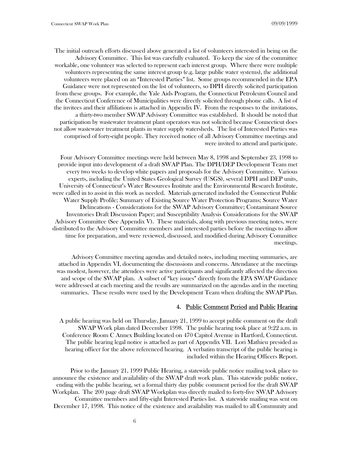The initial outreach efforts discussed above generated a list of volunteers interested in being on the Advisory Committee. This list was carefully evaluated. To keep the size of the committee workable, one volunteer was selected to represent each interest group. Where there were multiple volunteers representing the same interest group (e.g. large public water systems), the additional volunteers were placed on an "Interested Parties" list. Some groups recommended in the EPA Guidance were not represented on the list of volunteers, so DPH directly solicited participation from these groups. For example, the Yale Aids Program, the Connecticut Petroleum Council and the Connecticut Conference of Municipalities were directly solicited through phone calls. A list of the invitees and their affiliations is attached in Appendix IV. From the responses to the invitations, a thirty-two member SWAP Advisory Committee was established. It should be noted that participation by wastewater treatment plant operators was not solicited because Connecticut does not allow wastewater treatment plants in water supply watersheds. The list of Interested Parties was comprised of forty-eight people. They received notice of all Advisory Committee meetings and were invited to attend and participate.

Four Advisory Committee meetings were held between May 8, 1998 and September 23, 1998 to provide input into development of a draft SWAP Plan. The DPH/DEP Development Team met every two weeks to develop white papers and proposals for the Advisory Committee. Various experts, including the United States Geological Survey (USGS), several DPH and DEP units, University of Connecticut's Water Resources Institute and the Environmental Research Institute, were called in to assist in this work as needed. Materials generated included the Connecticut Public Water Supply Profile; Summary of Existing Source Water Protection Programs; Source Water Delineations - Considerations for the SWAP Advisory Committee; Contaminant Source Inventories Draft Discussion Paper; and Susceptibility Analysis Considerations for the SWAP Advisory Committee (See Appendix V). These materials, along with previous meeting notes, were distributed to the Advisory Committee members and interested parties before the meetings to allow time for preparation, and were reviewed, discussed, and modified during Advisory Committee meetings.

Advisory Committee meeting agendas and detailed notes, including meeting summaries, are attached in Appendix VI, documenting the discussions and concerns. Attendance at the meetings was modest, however, the attendees were active participants and significantly affected the direction and scope of the SWAP plan. A subset of "key issues" directly from the EPA SWAP Guidance were addressed at each meeting and the results are summarized on the agendas and in the meeting summaries. These results were used by the Development Team when drafting the SWAP Plan.

#### 4. Public Comment Period and Public Hearing

A public hearing was held on Thursday, January 21, 1999 to accept public comment on the draft SWAP Work plan dated December 1998. The public hearing took place at 9:22 a.m. in Conference Room C Annex Building located on 470 Capitol Avenue in Hartford, Connecticut. The public hearing legal notice is attached as part of Appendix VII. Lori Mathieu presided as hearing officer for the above referenced hearing. A verbatim transcript of the public hearing is included within the Hearing Officers Report.

Prior to the January 21, 1999 Public Hearing, a statewide public notice mailing took place to announce the existence and availability of the SWAP draft work plan. This statewide public notice, ending with the public hearing, set a formal thirty day public comment period for the draft SWAP Workplan. The 200 page draft SWAP Workplan was directly mailed to forty-five SWAP Advisory Committee members and fifty-eight Interested Parties list. A statewide mailing was sent on December 17, 1998. This notice of the existence and availability was mailed to all Community and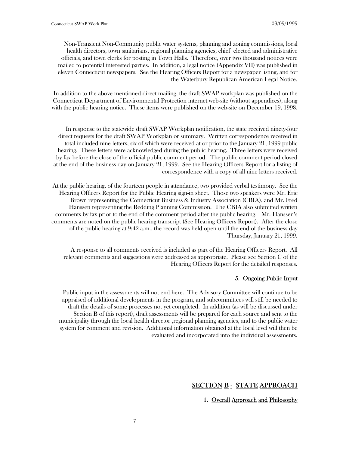Non-Transient Non-Community public water systems, planning and zoning commissions, local health directors, town sanitarians, regional planning agencies, chief elected and administrative officials, and town clerks for posting in Town Halls. Therefore, over two thousand notices were mailed to potential interested parties. In addition, a legal notice (Appendix VII) was published in eleven Connecticut newspapers. See the Hearing Officers Report for a newspaper listing, and for the Waterbury Republican American Legal Notice.

In addition to the above mentioned direct mailing, the draft SWAP workplan was published on the Connecticut Department of Environmental Protection internet web-site (without appendices), along with the public hearing notice. These items were published on the web-site on December 19, 1998.

In response to the statewide draft SWAP Workplan notification, the state received ninety-four direct requests for the draft SWAP Workplan or summary. Written correspondence received in total included nine letters, six of which were received at or prior to the January 21, 1999 public hearing. These letters were acknowledged during the public hearing. Three letters were received by fax before the close of the official public comment period. The public comment period closed at the end of the business day on January 21, 1999. See the Hearing Officers Report for a listing of correspondence with a copy of all nine letters received.

At the public hearing, of the fourteen people in attendance, two provided verbal testimony. See the Hearing Officers Report for the Public Hearing sign-in sheet. Those two speakers were Mr. Eric Brown representing the Connecticut Business & Industry Association (CBIA), and Mr. Fred Hanssen representing the Redding Planning Commission. The CBIA also submitted written comments by fax prior to the end of the comment period after the public hearing. Mr. Hanssen's comments are noted on the public hearing transcript (See Hearing Officers Report). After the close of the public hearing at 9:42 a.m., the record was held open until the end of the business day Thursday, January 21, 1999.

A response to all comments received is included as part of the Hearing Officers Report. All relevant comments and suggestions were addressed as appropriate. Please see Section C of the Hearing Officers Report for the detailed responses.

#### 5. Ongoing Public Input

Public input in the assessments will not end here. The Advisory Committee will continue to be appraised of additional developments in the program, and subcommittees will still be needed to draft the details of some processes not yet completed. In addition (as will be discussed under Section B of this report), draft assessments will be prepared for each source and sent to the municipality through the local health director ,regional planning agencies, and to the public water system for comment and revision. Additional information obtained at the local level will then be evaluated and incorporated into the individual assessments.

# SECTION **B** - STATE APPROACH

### 1. Overall Approach and Philosophy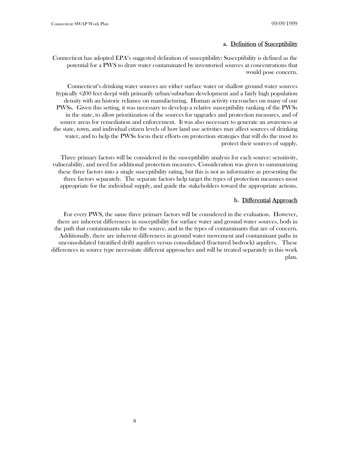#### a. Definition of Susceptibility

Connecticut has adopted EPA's suggested definition of susceptibility: Susceptibility is defined as the potential for a PWS to draw water contaminated by inventoried sources at concentrations that would pose concern.

Connecticut's drinking water sources are either surface water or shallow ground water sources (typically <200 feet deep) with primarily urban/suburban development and a fairly high population density with an historic reliance on manufacturing. Human activity encroaches on many of our PWSs. Given this setting, it was necessary to develop a relative susceptibility ranking of the PWSs in the state, to allow prioritization of the sources for upgrades and protection measures, and of source areas for remediation and enforcement. It was also necessary to generate an awareness at the state, town, and individual citizen levels of how land use activities may affect sources of drinking water, and to help the PWSs focus their efforts on protection strategies that will do the most to protect their sources of supply.

Three primary factors will be considered in the susceptibility analysis for each source: sensitivity, vulnerability, and need for additional protection measures. Consideration was given to summarizing these three factors into a single susceptibility rating, but this is not as informative as presenting the three factors separately. The separate factors help target the types of protection measures most appropriate for the individual supply, and guide the stakeholders toward the appropriate actions.

#### b. Differential Approach

For every PWS, the same three primary factors will be considered in the evaluation. However, there are inherent differences in susceptibility for surface water and ground water sources, both in the path that contaminants take to the source, and in the types of contaminants that are of concern. Additionally, there are inherent differences in ground water movement and contaminant paths in unconsolidated (stratified drift) aquifers versus consolidated (fractured bedrock) aquifers. These differences in source type necessitate different approaches and will be treated separately in this work plan.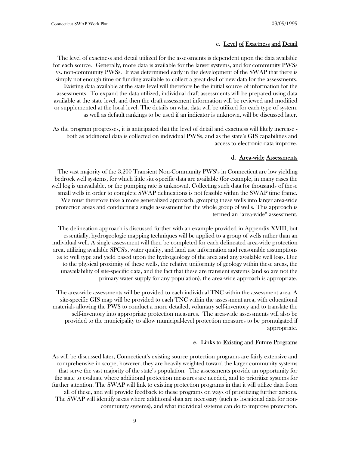#### c. Level of Exactness and Detail

The level of exactness and detail utilized for the assessments is dependent upon the data available for each source. Generally, more data is available for the larger systems, and for community PWSs vs. non-community PWSs. It was determined early in the development of the SWAP that there is simply not enough time or funding available to collect a great deal of new data for the assessments. Existing data available at the state level will therefore be the initial source of information for the assessments. To expand the data utilized, individual draft assessments will be prepared using data available at the state level, and then the draft assessment information will be reviewed and modified or supplemented at the local level. The details on what data will be utilized for each type of system, as well as default rankings to be used if an indicator is unknown, will be discussed later.

As the program progresses, it is anticipated that the level of detail and exactness will likely increase both as additional data is collected on individual PWSs, and as the state's GIS capabilities and access to electronic data improve.

#### d. Area-wide Assessments

The vast majority of the 3,200 Transient Non-Community PWS's in Connecticut are low yielding bedrock well systems, for which little site-specific data are available (for example, in many cases the well log is unavailable, or the pumping rate is unknown). Collecting such data for thousands of these small wells in order to complete SWAP delineations is not feasible within the SWAP time frame. We must therefore take a more generalized approach, grouping these wells into larger area-wide protection areas and conducting a single assessment for the whole group of wells. This approach is termed an "area-wide" assessment.

The delineation approach is discussed further with an example provided in Appendix XVIII, but essentially, hydrogeologic mapping techniques will be applied to a group of wells rather than an individual well. A single assessment will then be completed for each delineated area-wide protection area, utilizing available SPCS's, water quality, and land use information and reasonable assumptions as to well type and yield based upon the hydrogeology of the area and any available well logs. Due to the physical proximity of these wells, the relative uniformity of geology within these areas, the unavailability of site-specific data, and the fact that these are transient systems (and so are not the primary water supply for any population), the area-wide approach is appropriate.

The area-wide assessments will be provided to each individual TNC within the assessment area. A site-specific GIS map will be provided to each TNC within the assessment area, with educational materials allowing the PWS to conduct a more detailed, voluntary self-inventory and to translate the self-inventory into appropriate protection measures. The area-wide assessments will also be provided to the municipality to allow municipal-level protection measures to be promulgated if appropriate.

#### e. Links to Existing and Future Programs

As will be discussed later, Connecticut's existing source protection programs are fairly extensive and comprehensive in scope, however, they are heavily weighted toward the larger community systems that serve the vast majority of the state's population. The assessments provide an opportunity for the state to evaluate where additional protection measures are needed, and to prioritize systems for further attention. The SWAP will link to existing protection programs in that it will utilize data from all of these, and will provide feedback to these programs on ways of prioritizing further actions. The SWAP will identify areas where additional data are necessary (such as locational data for noncommunity systems), and what individual systems can do to improve protection.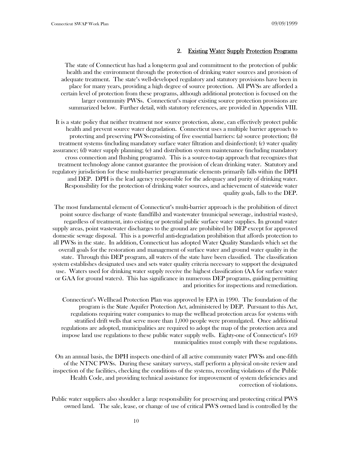#### 2. Existing Water Supply Protection Programs

The state of Connecticut has had a long-term goal and commitment to the protection of public health and the environment through the protection of drinking water sources and provision of adequate treatment. The state's well-developed regulatory and statutory provisions have been in place for many years, providing a high degree of source protection. All PWSs are afforded a certain level of protection from these programs, although additional protection is focused on the larger community PWSs. Connecticut's major existing source protection provisions are summarized below. Further detail, with statutory references, are provided in Appendix VIII.

It is a state policy that neither treatment nor source protection, alone, can effectively protect public health and prevent source water degradation. Connecticut uses a multiple barrier approach to protecting and preserving PWSsconsisting of five essential barriers: (a) source protection; (b) treatment systems (including mandatory surface water filtration and disinfection); (c) water quality assurance; (d) water supply planning; (e) and distribution system maintenance (including mandatory cross connection and flushing programs). This is a source-to-tap approach that recognizes that treatment technology alone cannot guarantee the provision of clean drinking water. Statutory and regulatory jurisdiction for these multi-barrier programmatic elements primarily falls within the DPH and DEP. DPH is the lead agency responsible for the adequacy and purity of drinking water. Responsibility for the protection of drinking water sources, and achievement of statewide water quality goals, falls to the DEP.

The most fundamental element of Connecticut's multi-barrier approach is the prohibition of direct point source discharge of waste (landfills) and wastewater (municipal sewerage, industrial wastes), regardless of treatment, into existing or potential public surface water supplies. In ground water supply areas, point wastewater discharges to the ground are prohibited by DEP except for approved domestic sewage disposal. This is a powerful anti-degradation prohibition that affords protection to all PWSs in the state. In addition, Connecticut has adopted Water Quality Standards which set the overall goals for the restoration and management of surface water and ground water quality in the state. Through this DEP program, all waters of the state have been classified. The classification system establishes designated uses and sets water quality criteria necessary to support the designated use. Waters used for drinking water supply receive the highest classification (AA for surface water or GAA for ground waters). This has significance in numerous DEP programs, guiding permitting and priorities for inspections and remediation.

Connecticut's Wellhead Protection Plan was approved by EPA in 1990. The foundation of the program is the State Aquifer Protection Act, administered by DEP. Pursuant to this Act, regulations requiring water companies to map the wellhead protection areas for systems with stratified drift wells that serve more than 1,000 people were promulgated. Once additional regulations are adopted, municipalities are required to adopt the map of the protection area and impose land use regulations to these public water supply wells. Eighty-one of Connecticut's 169 municipalities must comply with these regulations.

On an annual basis, the DPH inspects one-third of all active community water PWSs and one-fifth of the NTNC PWSs. During these sanitary surveys, staff perform a physical on-site review and inspection of the facilities, checking the conditions of the systems, recording violations of the Public Health Code, and providing technical assistance for improvement of system deficiencies and correction of violations.

Public water suppliers also shoulder a large responsibility for preserving and protecting critical PWS owned land. The sale, lease, or change of use of critical PWS owned land is controlled by the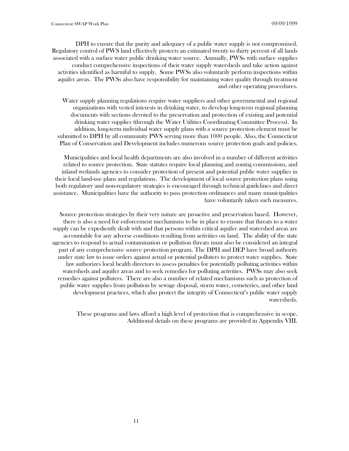DPH to ensure that the purity and adequacy of a public water supply is not compromised. Regulatory control of PWS land effectively protects an estimated twenty to thirty percent of all lands associated with a surface water public drinking water source. Annually, PWSs with surface supplies conduct comprehensive inspections of their water supply watersheds and take action against activities identified as harmful to supply. Some PWSs also voluntarily perform inspections within aquifer areas. The PWSs also have responsibility for maintaining water quality through treatment and other operating procedures.

Water supply planning regulations require water suppliers and other governmental and regional organizations with vested interests in drinking water, to develop long-term regional planning documents with sections devoted to the preservation and protection of existing and potential drinking water supplies (through the Water Utilities Coordinating Committee Process). In addition, long-term individual water supply plans with a source protection element must be submitted to DPH by all community PWS serving more than 1000 people. Also, the Connecticut Plan of Conservation and Development includes numerous source protection goals and policies.

Municipalities and local health departments are also involved in a number of different activities related to source protection. State statutes require local planning and zoning commissions, and inland wetlands agencies to consider protection of present and potential public water supplies in their local land-use plans and regulations. The development of local source protection plans using both regulatory and non-regulatory strategies is encouraged through technical guidelines and direct assistance. Municipalities have the authority to pass protection ordinances and many municipalities have voluntarily taken such measures.

Source protection strategies by their very nature are proactive and preservation based. However, there is also a need for enforcement mechanisms to be in place to ensure that threats to a water supply can be expediently dealt with and that persons within critical aquifer and watershed areas are accountable for any adverse conditions resulting from activities on land. The ability of the state agencies to respond to actual contamination or pollution threats must also be considered an integral part of any comprehensive source protection program. The DPH and DEP have broad authority under state law to issue orders against actual or potential polluters to protect water supplies. State law authorizes local health directors to assess penalties for potentially polluting activities within watersheds and aquifer areas and to seek remedies for polluting activities. PWSs may also seek remedies against polluters. There are also a number of related mechanisms such as protection of public water supplies from pollution by sewage disposal, storm water, cemeteries, and other land development practices, which also protect the integrity of Connecticut's public water supply watersheds.

These programs and laws afford a high level of protection that is comprehensive in scope. Additional details on these programs are provided in Appendix VIII.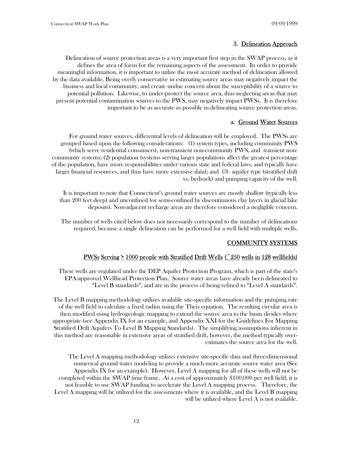#### 3. Delineation Approach

Delineation of source protection areas is a very important first step in the SWAP process, as it defines the area of focus for the remaining aspects of the assessment. In order to provide meaningful information, it is important to utilize the most accurate method of delineation allowed by the data available. Being overly conservative in estimating source areas may negatively impact the business and local community, and create undue concern about the susceptibility of a source to potential pollution. Likewise, to under-protect the source area, thus neglecting areas that may present potential contamination sources to the PWS, may negatively impact PWSs. It is therefore important to be as accurate as possible in delineating source protection areas.

#### a. Ground Water Sources

For ground water sources, differential levels of delineation will be employed. The PWSs are grouped based upon the following considerations: (1) system types, including community PWS (which serve residential consumers), non-transient non-community PWS, and transient noncommunity systems; (2) population (systems serving larger populations affect the greatest percentage of the population, have more responsibilities under various state and federal laws, and typically have larger financial resources, and thus have more extensive data); and (3) aquifer type (stratified drift vs. bedrock) and pumping capacity of the well.

It is important to note that Connecticut's ground water sources are mostly shallow (typically less than 200 feet deep) and unconfined (or semi-confined by discontinuous clay layers in glacial lake deposits). Non-adjacent recharge areas are therefore considered a negligible concern.

The number of wells cited below does not necessarily correspond to the number of delineations required, because a single delineation can be performed for a well field with multiple wells.

#### COMMUNITY SYSTEMS

#### PWSs Serving  $\geq 1000$  people with Stratified Drift Wells ( $\degree$ 250 wells in 128 wellfields)

These wells are regulated under the DEP Aquifer Protection Program, which is part of the state's EPA-approved Wellhead Protection Plan. Source water areas have already been delineated to "Level B standards", and are in the process of being refined to "Level A standards".

The Level B mapping methodology utilizes available site-specific information and the pumping rate of the well field to calculate a fixed radius using the Theis equation. The resulting circular area is then modified using hydrogeologic mapping to extend the source area to the basin divides where appropriate (see Appendix IX for an example, and Appendix XXI for the Guidelines For Mapping Stratified Drift Aquifers To Level B Mapping Standards). The simplifying assumptions inherent in this method are reasonable in extensive areas of stratified drift, however, the method typically overestimates the source area for the well.

The Level A mapping methodology utilizes extensive site-specific data and three-dimensional numerical ground water modeling to provide a much more accurate source water area (See Appendix IX for an example). However, Level A mapping for all of these wells will not be completed within the SWAP time frame. At a cost of approximately \$100,000 per well field, it is not feasible to use SWAP funding to accelerate the Level A mapping process. Therefore, the Level A mapping will be utilized for the assessments where it is available, and the Level B mapping will be utilized where Level A is not available.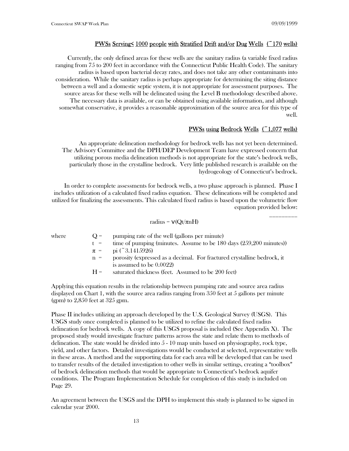#### PWSs Serving< 1000 people with Stratified Drift and/or Dug Wells (~170 wells)

Currently, the only defined areas for these wells are the sanitary radius (a variable fixed radius ranging from 75 to 200 feet in accordance with the Connecticut Public Health Code). The sanitary radius is based upon bacterial decay rates, and does not take any other contaminants into consideration. While the sanitary radius is perhaps appropriate for determining the siting distance between a well and a domestic septic system, it is not appropriate for assessment purposes. The source areas for these wells will be delineated using the Level B methodology described above. The necessary data is available, or can be obtained using available information, and although somewhat conservative, it provides a reasonable approximation of the source area for this type of well.

#### PWSs using Bedrock Wells (~1,077 wells)

\_\_\_\_\_\_\_\_\_

An appropriate delineation methodology for bedrock wells has not yet been determined. The Advisory Committee and the DPH/DEP Development Team have expressed concern that utilizing porous media delineation methods is not appropriate for the state's bedrock wells, particularly those in the crystalline bedrock. Very little published research is available on the hydrogeology of Connecticut's bedrock.

In order to complete assessments for bedrock wells, a two phase approach is planned. Phase I includes utilization of a calculated fixed radius equation. These delineations will be completed and utilized for finalizing the assessments. This calculated fixed radius is based upon the volumetric flow equation provided below:

#### radius =  $v(Qt/\pi nH)$

| where | $() =$ | pumping rate of the well (gallons per minute)                           |
|-------|--------|-------------------------------------------------------------------------|
|       | $t =$  | time of pumping (minutes. Assume to be 180 days (259,200 minutes))      |
|       |        | $\pi =$ pi (~3.1415926)                                                 |
|       | $n =$  | porosity (expressed as a decimal. For fractured crystalline bedrock, it |
|       |        | is assumed to be $0.0022$ )                                             |
|       | $H =$  | saturated thickness (feet. Assumed to be 200 feet)                      |
|       |        |                                                                         |

Applying this equation results in the relationship between pumping rate and source area radius displayed on Chart 1, with the source area radius ranging from 350 feet at 5 gallons per minute (gpm) to 2,850 feet at 325 gpm.

Phase II includes utilizing an approach developed by the U.S. Geological Survey (USGS). This USGS study once completed is planned to be utilized to refine the calculated fixed radius delineation for bedrock wells. A copy of this USGS proposal is included (See Appendix X). The proposed study would investigate fracture patterns across the state and relate them to methods of delineation. The state would be divided into 5 - 10 map units based on physiography, rock type, yield, and other factors. Detailed investigations would be conducted at selected, representative wells in these areas. A method and the supporting data for each area will be developed that can be used to transfer results of the detailed investigation to other wells in similar settings, creating a "toolbox" of bedrock delineation methods that would be appropriate to Connecticut's bedrock aquifer conditions. The Program Implementation Schedule for completion of this study is included on Page 29.

An agreement between the USGS and the DPH to implement this study is planned to be signed in calendar year 2000.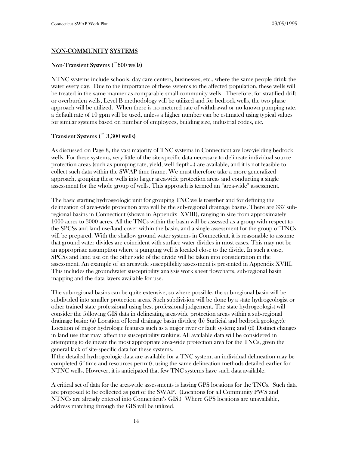#### NON-COMMUNITY SYSTEMS

#### Non-Transient Systems (~600 wells)

NTNC systems include schools, day care centers, businesses, etc., where the same people drink the water every day. Due to the importance of these systems to the affected population, these wells will be treated in the same manner as comparable small community wells. Therefore, for stratified drift or overburden wells, Level B methodology will be utilized and for bedrock wells, the two phase approach will be utilized. When there is no metered rate of withdrawal or no known pumping rate, a default rate of 10 gpm will be used, unless a higher number can be estimated using typical values for similar systems based on number of employees, building size, industrial codes, etc.

#### Transient Systems (~ 3,300 wells)

As discussed on Page 8, the vast majority of TNC systems in Connecticut are low-yielding bedrock wells. For these systems, very little of the site-specific data necessary to delineate individual source protection areas (such as pumping rate, yield, well depth...) are available, and it is not feasible to collect such data within the SWAP time frame. We must therefore take a more generalized approach, grouping these wells into larger area-wide protection areas and conducting a single assessment for the whole group of wells. This approach is termed an "area-wide" assessment.

The basic starting hydrogeologic unit for grouping TNC wells together and for defining the delineation of area-wide protection area will be the sub-regional drainage basins. There are 337 subregional basins in Connecticut (shown in Appendix XVIII), ranging in size from approximately 1000 acres to 3000 acres. All the TNCs within the basin will be assessed as a group with respect to the SPCSs and land use/land cover within the basin, and a single assessment for the group of TNCs will be prepared. With the shallow ground water systems in Connecticut, it is reasonable to assume that ground water divides are coincident with surface water divides in most cases. This may not be an appropriate assumption where a pumping well is located close to the divide. In such a case, SPCSs and land use on the other side of the divide will be taken into consideration in the assessment. An example of an areawide susceptibility assessment is presented in Appendix XVIII. This includes the groundwater susceptibility analysis work sheet flowcharts, sub-regional basin mapping and the data layers available for use.

The sub-regional basins can be quite extensive, so where possible, the sub-regional basin will be subdivided into smaller protection areas. Such subdivision will be done by a state hydrogeologist or other trained state professional using best professional judgement. The state hydrogeologist will consider the following GIS data in delineating area-wide protection areas within a sub-regional drainage basin: (a) Location of local drainage basin divides; (b) Surficial and bedrock geology;(c Location of major hydrologic features such as a major river or fault system; and (d) Distinct changes in land use that may affect the susceptibility ranking. All available data will be considered in attempting to delineate the most appropriate area-wide protection area for the TNCs, given the general lack of site-specific data for these systems.

If the detailed hydrogeologic data are available for a TNC system, an individual delineation may be completed (if time and resources permit), using the same delineation methods detailed earlier for NTNC wells. However, it is anticipated that few TNC systems have such data available.

A critical set of data for the area-wide assessments is having GPS locations for the TNCs. Such data are proposed to be collected as part of the SWAP. (Locations for all Community PWS and NTNCs are already entered into Connecticut's GIS.) Where GPS locations are unavailable, address matching through the GIS will be utilized.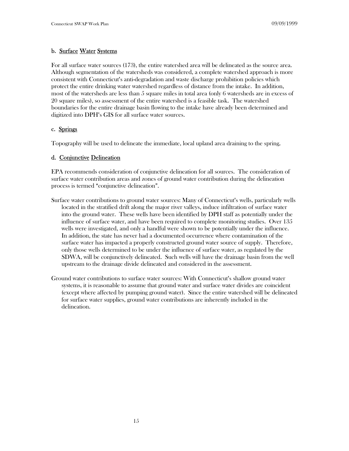# b. Surface Water Systems

For all surface water sources (173), the entire watershed area will be delineated as the source area. Although segmentation of the watersheds was considered, a complete watershed approach is more consistent with Connecticut's anti-degradation and waste discharge prohibition policies which protect the entire drinking water watershed regardless of distance from the intake. In addition, most of the watersheds are less than 5 square miles in total area (only 6 watersheds are in excess of 20 square miles), so assessment of the entire watershed is a feasible task. The watershed boundaries for the entire drainage basin flowing to the intake have already been determined and digitized into DPH's GIS for all surface water sources.

#### c. Springs

Topography will be used to delineate the immediate, local upland area draining to the spring.

#### d. Conjunctive Delineation

EPA recommends consideration of conjunctive delineation for all sources. The consideration of surface water contribution areas and zones of ground water contribution during the delineation process is termed "conjunctive delineation".

- Surface water contributions to ground water sources: Many of Connecticut's wells, particularly wells located in the stratified drift along the major river valleys, induce infiltration of surface water into the ground water. These wells have been identified by DPH staff as potentially under the influence of surface water, and have been required to complete monitoring studies. Over 135 wells were investigated, and only a handful were shown to be potentially under the influence. In addition, the state has never had a documented occurrence where contamination of the surface water has impacted a properly constructed ground water source of supply. Therefore, only those wells determined to be under the influence of surface water, as regulated by the SDWA, will be conjunctively delineated. Such wells will have the drainage basin from the well upstream to the drainage divide delineated and considered in the assessment.
- Ground water contributions to surface water sources: With Connecticut's shallow ground water systems, it is reasonable to assume that ground water and surface water divides are coincident (except where affected by pumping ground water). Since the entire watershed will be delineated for surface water supplies, ground water contributions are inherently included in the delineation.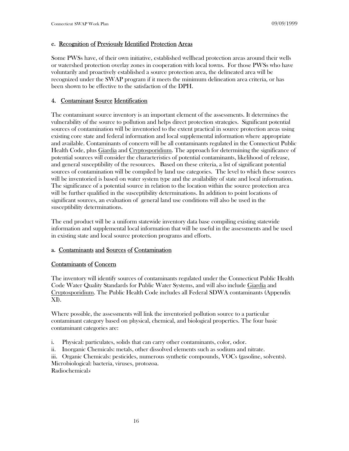#### e. Recognition of Previously Identified Protection Areas

Some PWSs have, of their own initiative, established wellhead protection areas around their wells or watershed protection overlay zones in cooperation with local towns. For those PWSs who have voluntarily and proactively established a source protection area, the delineated area will be recognized under the SWAP program if it meets the minimum delineation area criteria, or has been shown to be effective to the satisfaction of the DPH.

#### 4. Contaminant Source Identification

The contaminant source inventory is an important element of the assessments. It determines the vulnerability of the source to pollution and helps direct protection strategies. Significant potential sources of contamination will be inventoried to the extent practical in source protection areas using existing core state and federal information and local supplemental information where appropriate and available. Contaminants of concern will be all contaminants regulated in the Connecticut Public Health Code, plus *Giardia* and *Cryptosporidium*. The approach for determining the significance of potential sources will consider the characteristics of potential contaminants, likelihood of release, and general susceptibility of the resources. Based on these criteria, a list of significant potential sources of contamination will be compiled by land use categories. The level to which these sources will be inventoried is based on water system type and the availability of state and local information. The significance of a potential source in relation to the location within the source protection area will be further qualified in the susceptibility determinations. In addition to point locations of significant sources, an evaluation of general land use conditions will also be used in the susceptibility determinations.

The end product will be a uniform statewide inventory data base compiling existing statewide information and supplemental local information that will be useful in the assessments and be used in existing state and local source protection programs and efforts.

#### a. Contaminants and Sources of Contamination

#### Contaminants of Concern

The inventory will identify sources of contaminants regulated under the Connecticut Public Health Code Water Quality Standards for Public Water Systems, and will also include Giardia and Cryptosporidium. The Public Health Code includes all Federal SDWA contaminants (Appendix XI).

Where possible, the assessments will link the inventoried pollution source to a particular contaminant category based on physical, chemical, and biological properties. The four basic contaminant categories are:

- i. Physical: particulates, solids that can carry other contaminants, color, odor.
- ii. Inorganic Chemicals: metals, other dissolved elements such as sodium and nitrate.

iii. Organic Chemicals: pesticides, numerous synthetic compounds, VOCs (gasoline, solvents). Microbiological: bacteria, viruses, protozoa.

Radiochemicals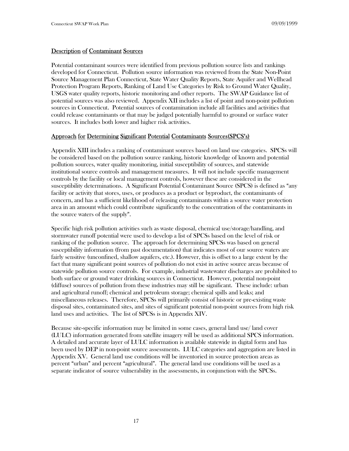### Description of Contaminant Sources

Potential contaminant sources were identified from previous pollution source lists and rankings developed for Connecticut. Pollution source information was reviewed from the State Non-Point Source Management Plan Connecticut, State Water Quality Reports, State Aquifer and Wellhead Protection Program Reports, Ranking of Land Use Categories by Risk to Ground Water Quality, USGS water quality reports, historic monitoring and other reports. The SWAP Guidance list of potential sources was also reviewed. Appendix XII includes a list of point and non-point pollution sources in Connecticut. Potential sources of contamination include all facilities and activities that could release contaminants or that may be judged potentially harmful to ground or surface water sources. It includes both lower and higher risk activities.

#### Approach for Determining Significant Potential Contaminants Sources(SPCS's)

Appendix XIII includes a ranking of contaminant sources based on land use categories. SPCSs will be considered based on the pollution source ranking, historic knowledge of known and potential pollution sources, water quality monitoring, initial susceptibility of sources, and statewide institutional source controls and management measures. It will not include specific management controls by the facility or local management controls, however these are considered in the susceptibility determinations. A Significant Potential Contaminant Source (SPCS) is defined as "any facility or activity that stores, uses, or produces as a product or byproduct, the contaminants of concern, and has a sufficient likelihood of releasing contaminants within a source water protection area in an amount which could contribute significantly to the concentration of the contaminants in the source waters of the supply".

Specific high risk pollution activities such as waste disposal, chemical use/storage/handling, and stormwater runoff potential were used to develop a list of SPCSs based on the level of risk or ranking of the pollution source. The approach for determining SPCSs was based on general susceptibility information (from past documentation) that indicates most of our source waters are fairly sensitive (unconfined, shallow aquifers, etc.). However, this is offset to a large extent by the fact that many significant point sources of pollution do not exist in active source areas because of statewide pollution source controls. For example, industrial wastewater discharges are prohibited to both surface or ground water drinking sources in Connecticut. However, potential non-point (diffuse) sources of pollution from these industries may still be significant. These include: urban and agricultural runoff; chemical and petroleum storage; chemical spills and leaks; and miscellaneous releases. Therefore, SPCSs will primarily consist of historic or pre-existing waste disposal sites, contaminated sites, and sites of significant potential non-point sources from high risk land uses and activities. The list of SPCSs is in Appendix XIV.

Because site-specific information may be limited in some cases, general land use/ land cover (LULC) information generated from satellite imagery will be used as additional SPCS information. A detailed and accurate layer of LULC information is available statewide in digital form and has been used by DEP in non-point source assessments. LULC categories and aggregation are listed in Appendix XV. General land use conditions will be inventoried in source protection areas as percent "urban" and percent "agricultural". The general land use conditions will be used as a separate indicator of source vulnerability in the assessments, in conjunction with the SPCSs.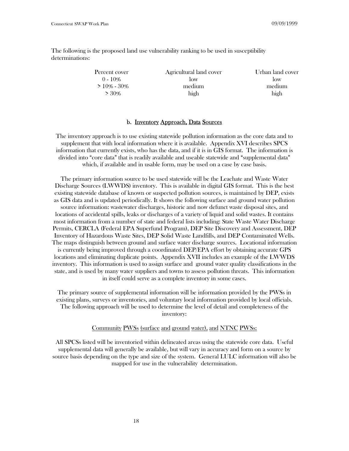The following is the proposed land use vulnerability ranking to be used in susceptibility determinations:

| Percent cover  | Agricultural land cover | Urban land cover |
|----------------|-------------------------|------------------|
| $0 - 10\%$     | low                     | low              |
| $>10\% - 30\%$ | medium                  | medium           |
| $> 30\%$       | high                    | high             |

#### b. Inventory Approach, Data Sources

The inventory approach is to use existing statewide pollution information as the core data and to supplement that with local information where it is available. Appendix XVI describes SPCS information that currently exists, who has the data, and if it is in GIS format. The information is divided into "core data" that is readily available and useable statewide and "supplemental data" which, if available and in usable form, may be used on a case by case basis.

The primary information source to be used statewide will be the Leachate and Waste Water Discharge Sources (LWWDS) inventory. This is available in digital GIS format. This is the best existing statewide database of known or suspected pollution sources, is maintained by DEP, exists as GIS data and is updated periodically. It shows the following surface and ground water pollution source information: wastewater discharges, historic and now defunct waste disposal sites, and locations of accidental spills, leaks or discharges of a variety of liquid and solid wastes. It contains most information from a number of state and federal lists including: State Waste Water Discharge Permits, CERCLA (Federal EPA Superfund Program), DEP Site Discovery and Assessment, DEP Inventory of Hazardous Waste Sites, DEP Solid Waste Landfills, and DEP Contaminated Wells. The maps distinguish between ground and surface water discharge sources. Locational information is currently being improved through a coordinated DEP/EPA effort by obtaining accurate GPS locations and eliminating duplicate points. Appendix XVII includes an example of the LWWDS inventory. This information is used to assign surface and ground water quality classifications in the state, and is used by many water suppliers and towns to assess pollution threats. This information in itself could serve as a complete inventory in some cases.

The primary source of supplemental information will be information provided by the PWSs in existing plans, surveys or inventories, and voluntary local information provided by local officials. The following approach will be used to determine the level of detail and completeness of the inventory:

#### Community PWSs (surface and ground water), and NTNC PWSs:

All SPCSs listed will be inventoried within delineated areas using the statewide core data. Useful supplemental data will generally be available, but will vary in accuracy and form on a source by source basis depending on the type and size of the system. General LULC information will also be mapped for use in the vulnerability determination.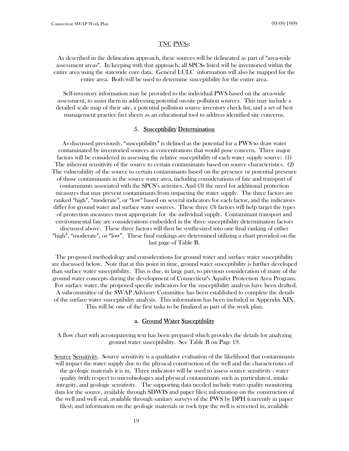#### TNC PWSs:

As described in the delineation approach, these sources will be delineated as part of "area-wide" assessment areas". In keeping with that approach, all SPCSs listed will be inventoried within the entire area using the statewide core data. General LULC information will also be mapped for the entire area. Both will be used to determine susceptibility for the entire area.

Self-inventory information may be provided to the individual PWS based on the area-wide assessment, to assist them in addressing potential on-site pollution sources. This may include a detailed scale map of their site, a potential pollution source inventory check list, and a set of best management practice fact sheets as an educational tool to address identified site concerns.

#### 5. Susceptibility Determination

As discussed previously, "susceptibility" is defined as the potential for a PWS to draw water contaminated by inventoried sources at concentrations that would pose concern. Three major factors will be considered in assessing the relative susceptibility of each water supply source: (1) The inherent sensitivity of the source to certain contaminants based on source characteristics. (2) The vulnerability of the source to certain contaminants based on the presence or potential presence of those contaminants in the source water area, including considerations of fate and transport of contaminants associated with the SPCS's activities. And (3) the need for additional protection measures that may prevent contaminants from impacting the water supply. The three factors are ranked "high", "moderate", or "low" based on several indicators for each factor, and the indicators differ for ground water and surface water sources. These three (3) factors will help target the types of protection measures most appropriate for the individual supply. Contaminant transport and environmental fate are considerations embedded in the three susceptibility determination factors discussed above. These three factors will then be synthesized into one final ranking of either "high", "moderate", or "low". These final rankings are determined utilizing a chart provided on the last page of Table B.

The proposed methodology and considerations for ground water and surface water susceptibility are discussed below. Note that at this point in time, ground water susceptibility is further developed than surface water susceptibility. This is due, in large part, to previous consideration of many of the ground water concepts during the development of Connecticut's Aquifer Protection Area Program. For surface water, the proposed specific indicators for the susceptibility analysis have been drafted. A subcommittee of the SWAP Advisory Committee has been established to complete the details of the surface water susceptibility analysis. This information has been included in Appendix XIX. This will be one of the first tasks to be finalized as part of the work plan.

#### a. Ground Water Susceptibility

A flow chart with accompanying text has been prepared which provides the details for analyzing ground water susceptibility. See Table B on Page 19.

Source Sensitivity. Source sensitivity is a qualitative evaluation of the likelihood that contaminants will impact the water supply due to the physical construction of the well and the characteristics of the geologic materials it is in. Three indicators will be used to assess source sensitivity - water quality (with respect to microbiologics and physical contaminants such as particulates), intake integrity, and geologic sensitivity. The supporting data needed include water quality monitoring data for the source, available through SDWIS and paper files; information on the construction of the well and well seal, available through sanitary surveys of the PWS by DPH (currently in paper files); and information on the geologic materials or rock type the well is screened in, available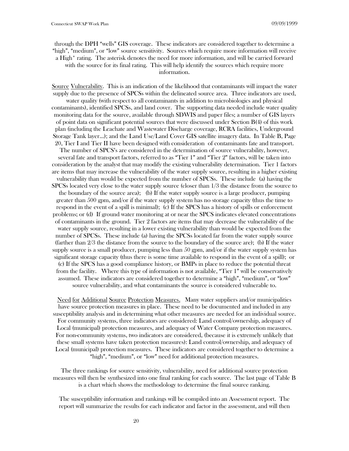through the DPH "wells" GIS coverage. These indicators are considered together to determine a "high", "medium", or "low" source sensitivity. Sources which require more information will receive a High\* rating. The asterisk denotes the need for more information, and will be carried forward with the source for its final rating. This will help identify the sources which require more information.

Source Vulnerability. This is an indication of the likelihood that contaminants will impact the water supply due to the presence of SPCSs within the delineated source area. Three indicators are used, water quality (with respect to all contaminants in addition to microbiologics and physical contaminants), identified SPCSs, and land cover. The supporting data needed include water quality monitoring data for the source, available through SDWIS and paper files; a number of GIS layers of point data on significant potential sources that were discussed under Section B(4) of this work plan (including the Leachate and Wastewater Discharge coverage, RCRA facilities, Underground Storage Tank layer...); and the Land Use/Land Cover GIS satellite imagery data. In Table B, Page 20, Tier I and Tier II have been designed with consideration of contaminants fate and transport. The number of SPCS's are considered in the determination of source vulnerability, however, several fate and transport factors, referred to as "Tier 1" and "Tier 2" factors, will be taken into consideration by the analyst that may modify the existing vulnerability determination. Tier 1 factors are items that may increase the vulnerability of the water supply source, resulting in a higher existing vulnerability than would be expected from the number of SPCSs. These include (a) having the SPCSs located very close to the water supply source (closer than 1/3 the distance from the source to the boundary of the source area); (b) If the water supply source is a large producer, pumping greater than 500 gpm, and/or if the water supply system has no storage capacity (thus the time to respond in the event of a spill is minimal); (c) If the SPCS has a history of spills or enforcement problems; or (d) If ground water monitoring at or near the SPCS indicates elevated concentrations of contaminants in the ground. Tier 2 factors are items that may decrease the vulnerability of the water supply source, resulting in a lower existing vulnerability than would be expected from the number of SPCSs. These include (a) having the SPCSs located far from the water supply source (farther than 2/3 the distance from the source to the boundary of the source are); (b) If the water supply source is a small producer, pumping less than 50 gpm, and/or if the water supply system has significant storage capacity (thus there is some time available to respond in the event of a spill); or (c) If the SPCS has a good compliance history, or BMPs in place to reduce the potential threat from the facility. Where this type of information is not available, "Tier 1" will be conservatively assumed. These indicators are considered together to determine a "high", "medium", or "low" source vulnerability, and what contaminants the source is considered vulnerable to.

Need for Additional Source Protection Measures. Many water suppliers and/or municipalities have source protection measures in place. These need to be documented and included in any susceptibility analysis and in determining what other measures are needed for an individual source. For community systems, three indicators are considered: Land control/ownership, adequacy of Local (municipal) protection measures, and adequacy of Water Company protection measures. For non-community systems, two indicators are considered, (because it is extremely unlikely that these small systems have taken protection measures): Land control/ownership, and adequacy of Local (municipal) protection measures. These indicators are considered together to determine a "high", "medium", or "low" need for additional protection measures.

The three rankings for source sensitivity, vulnerability, need for additional source protection measures will then be synthesized into one final ranking for each source. The last page of Table B is a chart which shows the methodology to determine the final source ranking.

The susceptibility information and rankings will be compiled into an Assessment report. The report will summarize the results for each indicator and factor in the assessment, and will then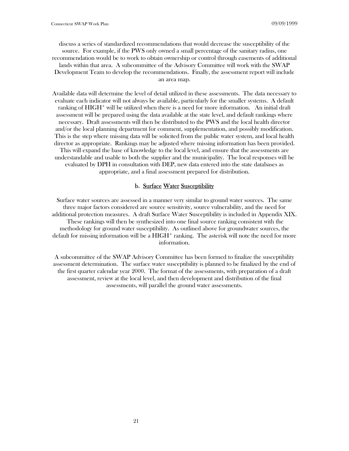discuss a series of standardized recommendations that would decrease the susceptibility of the source. For example, if the PWS only owned a small percentage of the sanitary radius, one recommendation would be to work to obtain ownership or control through easements of additional lands within that area. A subcommittee of the Advisory Committee will work with the SWAP Development Team to develop the recommendations. Finally, the assessment report will include an area map.

Available data will determine the level of detail utilized in these assessments. The data necessary to evaluate each indicator will not always be available, particularly for the smaller systems. A default ranking of HIGH\* will be utilized when there is a need for more information. An initial draft assessment will be prepared using the data available at the state level, and default rankings where necessary. Draft assessments will then be distributed to the PWS and the local health director and/or the local planning department for comment, supplementation, and possibly modification. This is the step where missing data will be solicited from the public water system, and local health director as appropriate. Rankings may be adjusted where missing information has been provided. This will expand the base of knowledge to the local level, and ensure that the assessments are understandable and usable to both the supplier and the municipality. The local responses will be evaluated by DPH in consultation with DEP, new data entered into the state databases as appropriate, and a final assessment prepared for distribution.

#### b. Surface Water Susceptibility

Surface water sources are assessed in a manner very similar to ground water sources. The same three major factors considered are source sensitivity, source vulnerability, and the need for additional protection measures. A draft Surface Water Susceptibility is included in Appendix XIX. These rankings will then be synthesized into one final source ranking consistent with the methodology for ground water susceptibility. As outlined above for groundwater sources, the default for missing information will be a HIGH\* ranking. The asterisk will note the need for more information.

A subcommittee of the SWAP Advisory Committee has been formed to finalize the susceptibility assessment determination. The surface water susceptibility is planned to be finalized by the end of the first quarter calendar year 2000. The format of the assessments, with preparation of a draft assessment, review at the local level, and then development and distribution of the final assessments, will parallel the ground water assessments.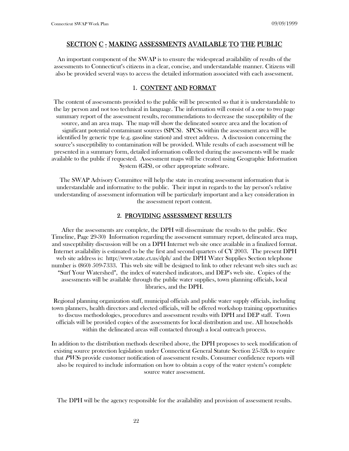#### SECTION C - MAKING ASSESSMENTS AVAILABLE TO THE PUBLIC

An important component of the SWAP is to ensure the widespread availability of results of the assessments to Connecticut's citizens in a clear, concise, and understandable manner. Citizens will also be provided several ways to access the detailed information associated with each assessment.

# 1. CONTENT AND FORMAT

The content of assessments provided to the public will be presented so that it is understandable to the lay person and not too technical in language. The information will consist of a one to two page summary report of the assessment results, recommendations to decrease the susceptibility of the source, and an area map. The map will show the delineated source area and the location of significant potential contaminant sources (SPCS). SPCSs within the assessment area will be identified by generic type (e.g. gasoline station) and street address. A discussion concerning the source's susceptibility to contamination will be provided. While results of each assessment will be presented in a summary form, detailed information collected during the assessments will be made available to the public if requested. Assessment maps will be created using Geographic Information System (GIS), or other appropriate software.

The SWAP Advisory Committee will help the state in creating assessment information that is understandable and informative to the public. Their input in regards to the lay person's relative understanding of assessment information will be particularly important and a key consideration in the assessment report content.

#### 2. PROVIDING ASSESSMENT RESULTS

After the assessments are complete, the DPH will disseminate the results to the public. (See Timeline, Page 29-30) Information regarding the assessment summary report, delineated area map, and susceptibility discussion will be on a DPH Internet web site once available in a finalized format. Internet availability is estimated to be the first and second quarters of CY 2003. The present DPH web site address is: http://www.state.ct.us/dph/ and the DPH Water Supplies Section telephone number is (860) 509-7333. This web site will be designed to link to other relevant web sites such as: "Surf Your Watershed", the index of watershed indicators, and DEP's web site. Copies of the assessments will be available through the public water supplies, town planning officials, local libraries, and the DPH.

Regional planning organization staff, municipal officials and public water supply officials, including town planners, health directors and elected officials, will be offered workshop training opportunities to discuss methodologies, procedures and assessment results with DPH and DEP staff. Town officials will be provided copies of the assessments for local distribution and use. All households within the delineated areas will contacted through a local outreach process.

In addition to the distribution methods described above, the DPH proposes to seek modification of existing source protection legislation under Connecticut General Statute Section 25-32k to require that PWSs provide customer notification of assessment results. Consumer confidence reports will also be required to include information on how to obtain a copy of the water system's complete source water assessment.

The DPH will be the agency responsible for the availability and provision of assessment results.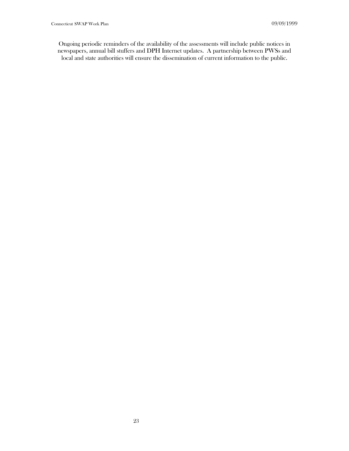Ongoing periodic reminders of the availability of the assessments will include public notices in newspapers, annual bill stuffers and DPH Internet updates. A partnership between PWSs and local and state authorities will ensure the dissemination of current information to the public.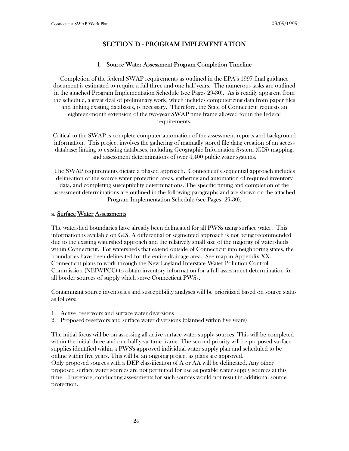# SECTION D - PROGRAM IMPLEMENTATION

# 1. Source Water Assessment Program Completion Timeline

Completion of the federal SWAP requirements as outlined in the EPA's 1997 final guidance document is estimated to require a full three and one half years. The numerous tasks are outlined in the attached Program Implementation Schedule (see Pages 29-30). As is readily apparent from the schedule, a great deal of preliminary work, which includes computerizing data from paper files and linking existing databases, is necessary. Therefore, the State of Connecticut requests an eighteen-month extension of the two-year SWAP time frame allowed for in the federal requirements.

Critical to the SWAP is complete computer automation of the assessment reports and background information. This project involves the gathering of manually stored file data; creation of an access database; linking to existing databases, including Geographic Information System (GIS) mapping; and assessment determinations of over 4,400 public water systems.

The SWAP requirements dictate a phased approach. Connecticut's sequential approach includes delineation of the source water protection areas, gathering and automation of required inventory data, and completing susceptibility determinations. The specific timing and completion of the assessment determinations are outlined in the following paragraphs and are shown on the attached Program Implementation Schedule (see Pages 29-30).

#### a. Surface Water Assessments

The watershed boundaries have already been delineated for all PWSs using surface water. This information is available on GIS. A differential or segmented approach is not being recommended due to the existing watershed approach and the relatively small size of the majority of watersheds within Connecticut. For watersheds that extend outside of Connecticut into neighboring states, the boundaries have been delineated for the entire drainage area. See map in Appendix XX. Connecticut plans to work through the New England Interstate Water Pollution Control Commission (NEIWPCC) to obtain inventory information for a full assessment determination for all border sources of supply which serve Connecticut PWSs.

Contaminant source inventories and susceptibility analyses will be prioritized based on source status as follows:

- 1. Active reservoirs and surface water diversions
- 2. Proposed reservoirs and surface water diversions (planned within five years)

The initial focus will be on assessing all active surface water supply sources. This will be completed within the initial three and one-half year time frame. The second priority will be proposed surface supplies identified within a PWS's approved individual water supply plan and scheduled to be online within five years. This will be an ongoing project as plans are approved. Only proposed sources with a DEP classification of A or AA will be delineated. Any other proposed surface water sources are not permitted for use as potable water supply sources at this time. Therefore, conducting assessments for such sources would not result in additional source protection.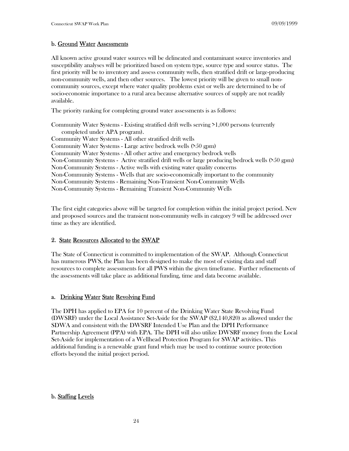#### b. Ground Water Assessments

All known active ground water sources will be delineated and contaminant source inventories and susceptibility analyses will be prioritized based on system type, source type and source status. The first priority will be to inventory and assess community wells, then stratified drift or large-producing non-community wells, and then other sources. The lowest priority will be given to small noncommunity sources, except where water quality problems exist or wells are determined to be of socio-economic importance to a rural area because alternative sources of supply are not readily available.

The priority ranking for completing ground water assessments is as follows:

Community Water Systems - Existing stratified drift wells serving >1,000 persons (currently completed under APA program). Community Water Systems - All other stratified drift wells Community Water Systems - Large active bedrock wells (>50 gpm) Community Water Systems - All other active and emergency bedrock wells Non-Community Systems - Active stratified drift wells or large producing bedrock wells (>50 gpm) Non-Community Systems - Active wells with existing water quality concerns Non-Community Systems - Wells that are socio-economically important to the community Non-Community Systems - Remaining Non-Transient Non-Community Wells Non-Community Systems - Remaining Transient Non-Community Wells

The first eight categories above will be targeted for completion within the initial project period. New and proposed sources and the transient non-community wells in category 9 will be addressed over time as they are identified.

#### 2. State Resources Allocated to the SWAP

The State of Connecticut is committed to implementation of the SWAP. Although Connecticut has numerous PWS, the Plan has been designed to make the most of existing data and staff resources to complete assessments for all PWS within the given timeframe. Further refinements of the assessments will take place as additional funding, time and data become available.

#### a. Drinking Water State Revolving Fund

The DPH has applied to EPA for 10 percent of the Drinking Water State Revolving Fund (DWSRF) under the Local Assistance Set-Aside for the SWAP (\$2,140,820) as allowed under the SDWA and consistent with the DWSRF Intended Use Plan and the DPH Performance Partnership Agreement (PPA) with EPA. The DPH will also utilize DWSRF money from the Local Set-Aside for implementation of a Wellhead Protection Program for SWAP activities. This additional funding is a renewable grant fund which may be used to continue source protection efforts beyond the initial project period.

#### b. Staffing Levels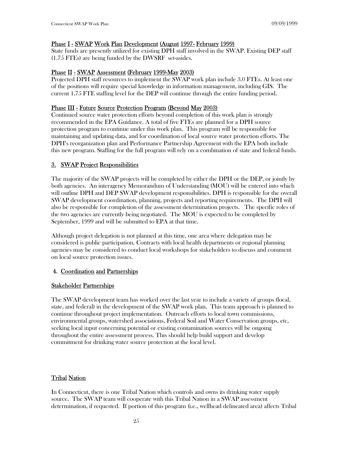#### Phase I - SWAP Work Plan Development (August 1997- February 1999)

State funds are presently utilized for existing DPH staff involved in the SWAP. Existing DEP staff (1.75 FTEs) are being funded by the DWSRF set-asides.

#### Phase II - SWAP Assessment (February 1999-May 2003)

Projected DPH staff resources to implement the SWAP work plan include 3.0 FTEs. At least one of the positions will require special knowledge in information management, including GIS. The current 1.75 FTE staffing level for the DEP will continue through the entire funding period.

#### Phase III - Future Source Protection Program (Beyond May 2003)

Continued source water protection efforts beyond completion of this work plan is strongly recommended in the EPA Guidance. A total of five FTEs are planned for a DPH source protection program to continue under this work plan. This program will be responsible for maintaining and updating data, and for coordination of local source water protection efforts. The DPH's reorganization plan and Performance Partnership Agreement with the EPA both include this new program. Staffing for the full program will rely on a combination of state and federal funds.

#### 3. SWAP Project Responsibilities

The majority of the SWAP projects will be completed by either the DPH or the DEP, or jointly by both agencies. An interagency Memorandum of Understanding (MOU) will be entered into which will outline DPH and DEP SWAP development responsibilities. DPH is responsible for the overall SWAP development coordination, planning, projects and reporting requirements. The DPH will also be responsible for completion of the assessment determination projects. The specific roles of the two agencies are currently being negotiated. The MOU is expected to be completed by September, 1999 and will be submitted to EPA at that time.

Although project delegation is not planned at this time, one area where delegation may be considered is public participation. Contracts with local health departments or regional planning agencies may be considered to conduct local workshops for stakeholders to discuss and comment on local source protection issues.

#### 4. Coordination and Partnerships

#### Stakeholder Partnerships

The SWAP development team has worked over the last year to include a variety of groups (local, state, and federal) in the development of the SWAP work plan. This team approach is planned to continue throughout project implementation. Outreach efforts to local town commissions, environmental groups, watershed associations, Federal Soil and Water Conservation groups, etc, seeking local input concerning potential or existing contamination sources will be ongoing throughout the entire assessment process. This should help build support and develop commitment for drinking water source protection at the local level.

#### **Tribal Nation**

In Connecticut, there is one Tribal Nation which controls and owns its drinking water supply source. The SWAP team will cooperate with this Tribal Nation in a SWAP assessment determination, if requested. If portion of this program (i.e., wellhead delineated area) affects Tribal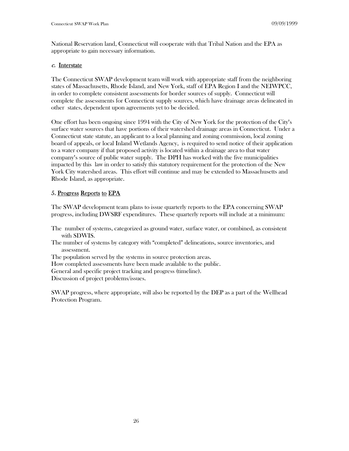National Reservation land, Connecticut will cooperate with that Tribal Nation and the EPA as appropriate to gain necessary information.

#### c. Interstate

The Connecticut SWAP development team will work with appropriate staff from the neighboring states of Massachusetts, Rhode Island, and New York, staff of EPA Region I and the NEIWPCC, in order to complete consistent assessments for border sources of supply. Connecticut will complete the assessments for Connecticut supply sources, which have drainage areas delineated in other states, dependent upon agreements yet to be decided.

One effort has been ongoing since 1994 with the City of New York for the protection of the City's surface water sources that have portions of their watershed drainage areas in Connecticut. Under a Connecticut state statute, an applicant to a local planning and zoning commission, local zoning board of appeals, or local Inland Wetlands Agency, is required to send notice of their application to a water company if that proposed activity is located within a drainage area to that water company's source of public water supply. The DPH has worked with the five municipalities impacted by this law in order to satisfy this statutory requirement for the protection of the New York City watershed areas. This effort will continue and may be extended to Massachusetts and Rhode Island, as appropriate.

# 5. Progress Reports to EPA

The SWAP development team plans to issue quarterly reports to the EPA concerning SWAP progress, including DWSRF expenditures. These quarterly reports will include at a minimum:

- The number of systems, categorized as ground water, surface water, or combined, as consistent with SDWIS.
- The number of systems by category with "completed" delineations, source inventories, and assessment.
- The population served by the systems in source protection areas.
- How completed assessments have been made available to the public.

General and specific project tracking and progress (timeline).

Discussion of project problems/issues.

SWAP progress, where appropriate, will also be reported by the DEP as a part of the Wellhead Protection Program.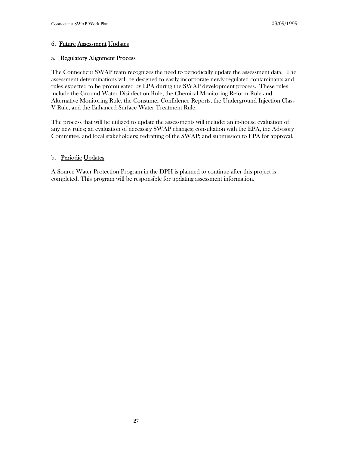# 6. Future Assessment Updates

#### a. Regulatory Alignment Process

The Connecticut SWAP team recognizes the need to periodically update the assessment data. The assessment determinations will be designed to easily incorporate newly regulated contaminants and rules expected to be promulgated by EPA during the SWAP development process. These rules include the Ground Water Disinfection Rule, the Chemical Monitoring Reform Rule and Alternative Monitoring Rule, the Consumer Confidence Reports, the Underground Injection Class V Rule, and the Enhanced Surface Water Treatment Rule.

The process that will be utilized to update the assessments will include: an in-house evaluation of any new rules; an evaluation of necessary SWAP changes; consultation with the EPA, the Advisory Committee, and local stakeholders; redrafting of the SWAP; and submission to EPA for approval.

# b. Periodic Updates

A Source Water Protection Program in the DPH is planned to continue after this project is completed. This program will be responsible for updating assessment information.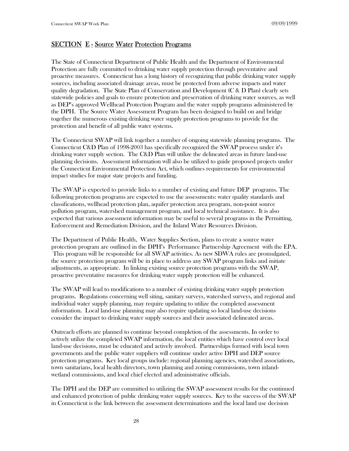# SECTION E - Source Water Protection Programs

The State of Connecticut Department of Public Health and the Department of Environmental Protection are fully committed to drinking water supply protection through preventative and proactive measures. Connecticut has a long history of recognizing that public drinking water supply sources, including associated drainage areas, must be protected from adverse impacts and water quality degradation. The State Plan of Conservation and Development (C & D Plan) clearly sets statewide policies and goals to ensure protection and preservation of drinking water sources, as well as DEP's approved Wellhead Protection Program and the water supply programs administered by the DPH. The Source Water Assessment Program has been designed to build on and bridge together the numerous existing drinking water supply protection programs to provide for the protection and benefit of all public water systems.

The Connecticut SWAP will link together a number of ongoing statewide planning programs. The Connecticut C&D Plan of 1998-2003 has specifically recognized the SWAP process under it's drinking water supply section. The C&D Plan will utilize the delineated areas in future land-use planning decisions. Assessment information will also be utilized to guide proposed projects under the Connecticut Environmental Protection Act, which outlines requirements for environmental impact studies for major state projects and funding.

The SWAP is expected to provide links to a number of existing and future DEP programs. The following protection programs are expected to use the assessments: water quality standards and classifications, wellhead protection plan, aquifer protection area program, non-point source pollution program, watershed management program, and local technical assistance. It is also expected that various assessment information may be useful to several programs in the Permitting, Enforcement and Remediation Division, and the Inland Water Resources Division.

The Department of Public Health, Water Supplies Section, plans to create a source water protection program are outlined in the DPH's Performance Partnership Agreement with the EPA. This program will be responsible for all SWAP activities. As new SDWA rules are promulgated, the source protection program will be in place to address any SWAP program links and initiate adjustments, as appropriate. In linking existing source protection programs with the SWAP, proactive preventative measures for drinking water supply protection will be enhanced.

The SWAP will lead to modifications to a number of existing drinking water supply protection programs. Regulations concerning well siting, sanitary surveys, watershed surveys, and regional and individual water supply planning, may require updating to utilize the completed assessment information. Local land-use planning may also require updating so local land-use decisions consider the impact to drinking water supply sources and their associated delineated areas.

Outreach efforts are planned to continue beyond completion of the assessments. In order to actively utilize the completed SWAP information, the local entities which have control over local land-use decisions, must be educated and actively involved. Partnerships formed with local town governments and the public water suppliers will continue under active DPH and DEP source protection programs. Key local groups include: regional planning agencies, watershed associations, town sanitarians, local health directors, town planning and zoning commissions, town inlandwetland commissions, and local chief elected and administrative officials.

The DPH and the DEP are committed to utilizing the SWAP assessment results for the continued and enhanced protection of public drinking water supply sources. Key to the success of the SWAP in Connecticut is the link between the assessment determinations and the local land use decision